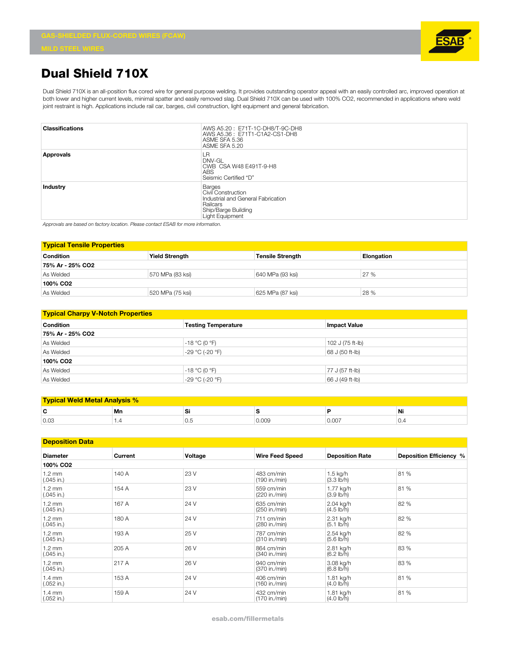

## **Dual Shield 710X**

Dual Shield 710X is an all-position flux cored wire for general purpose welding. It provides outstanding operator appeal with an easily controlled arc, improved operation at both lower and higher current levels, minimal spatter and easily removed slag. Dual Shield 710X can be used with 100% CO2, recommended in applications where weld joint restraint is high. Applications include rail car, barges, civil construction, light equipment and general fabrication.

| <b>Classifications</b> | AWS A5.20: E71T-1C-DH8/T-9C-DH8<br>AWS A5.36: E71T1-C1A2-CS1-DH8<br>ASME SFA 5.36<br>ASME SFA 5.20                              |
|------------------------|---------------------------------------------------------------------------------------------------------------------------------|
| Approvals              | LR<br>DNV-GL<br>CWB CSA W48 E491T-9-H8<br><b>ABS</b><br>Seismic Certified "D"                                                   |
| <b>Industry</b>        | <b>Barges</b><br>Civil Construction<br>Industrial and General Fabrication<br>Railcars<br>Ship/Barge Building<br>Light Equipment |

*Approvals are based on factory location. Please contact ESAB for more information.*

| <b>Typical Tensile Properties</b> |                       |                         |                   |  |  |
|-----------------------------------|-----------------------|-------------------------|-------------------|--|--|
| <b>Condition</b>                  | <b>Yield Strength</b> | <b>Tensile Strength</b> | <b>Elongation</b> |  |  |
| 75% Ar - 25% CO2                  |                       |                         |                   |  |  |
| As Welded                         | 570 MPa (83 ksi)      | 640 MPa (93 ksi)        | 27 %              |  |  |
| 100% CO <sub>2</sub>              |                       |                         |                   |  |  |
| As Welded                         | 520 MPa (75 ksi)      | 625 MPa (87 ksi)        | 28 %              |  |  |

| <b>Typical Charpy V-Notch Properties</b> |                                                   |                  |  |  |  |
|------------------------------------------|---------------------------------------------------|------------------|--|--|--|
| <b>Condition</b>                         | <b>Testing Temperature</b><br><b>Impact Value</b> |                  |  |  |  |
| 75% Ar - 25% CO2                         |                                                   |                  |  |  |  |
| As Welded<br>-18 °C (0 °F)               |                                                   | 102 J (75 ft-lb) |  |  |  |
| As Welded                                | -29 °C (-20 °F)                                   | 68 J (50 ft-lb)  |  |  |  |
| 100% CO <sub>2</sub>                     |                                                   |                  |  |  |  |
| As Welded                                | -18 °C (0 °F)                                     | 77 J (57 ft-lb)  |  |  |  |
| As Welded                                | -29 °C (-20 °F)                                   | 66 J (49 ft-lb)  |  |  |  |

| <b>Typical Weld Metal Analysis %</b> |     |     |       |      |     |  |
|--------------------------------------|-----|-----|-------|------|-----|--|
| r                                    | Mn  | ◡   |       |      | Ni  |  |
| 0.03                                 | . . | v.o | 009.ر | U.UU | ∪.∸ |  |

| <b>Deposition Data</b>           |         |         |                             |                                     |                         |
|----------------------------------|---------|---------|-----------------------------|-------------------------------------|-------------------------|
| <b>Diameter</b>                  | Current | Voltage | <b>Wire Feed Speed</b>      | <b>Deposition Rate</b>              | Deposition Efficiency % |
| 100% CO <sub>2</sub>             |         |         |                             |                                     |                         |
| $1.2 \text{ mm}$<br>$(.045$ in.) | 140 A   | 23 V    | 483 cm/min<br>(190 in./min) | $1.5$ kg/h<br>(3.3 lb/h)            | 81 %                    |
| $1.2 \text{ mm}$<br>$(.045$ in.) | 154 A   | 23 V    | 559 cm/min<br>(220 in./min) | 1.77 kg/h<br>(3.9 lb/h)             | 81 %                    |
| $1.2 \text{ mm}$<br>$(.045$ in.) | 167 A   | 24 V    | 635 cm/min<br>(250 in./min) | 2.04 kg/h<br>$(4.5 \, lb/h)$        | 82 %                    |
| $1.2 \text{ mm}$<br>$(.045$ in.) | 180 A   | 24 V    | 711 cm/min<br>(280 in./min) | 2.31 kg/h<br>$(5.1$ lb/h)           | 82 %                    |
| $1.2 \text{ mm}$<br>$(.045$ in.) | 193 A   | 25 V    | 787 cm/min<br>(310 in./min) | 2.54 kg/h<br>$(5.6 \, \text{lb/h})$ | 82 %                    |
| $1.2 \text{ mm}$<br>$(.045$ in.) | 205 A   | 26 V    | 864 cm/min<br>(340 in./min) | 2.81 kg/h<br>$(6.2 \, lb/h)$        | 83 %                    |
| $1.2 \text{ mm}$<br>$(.045$ in.) | 217 A   | 26 V    | 940 cm/min<br>(370 in./min) | 3.08 kg/h<br>$(6.8 \, lb/h)$        | 83 %                    |
| $1.4 \text{ mm}$<br>$(.052$ in.) | 153 A   | 24 V    | 406 cm/min<br>(160 in./min) | 1.81 kg/h<br>$(4.0 \, \text{lb/h})$ | 81 %                    |
| $1.4 \text{ mm}$<br>$(.052$ in.) | 159 A   | 24 V    | 432 cm/min<br>(170 in./min) | 1.81 kg/h<br>$(4.0 \, lb/h)$        | 81 %                    |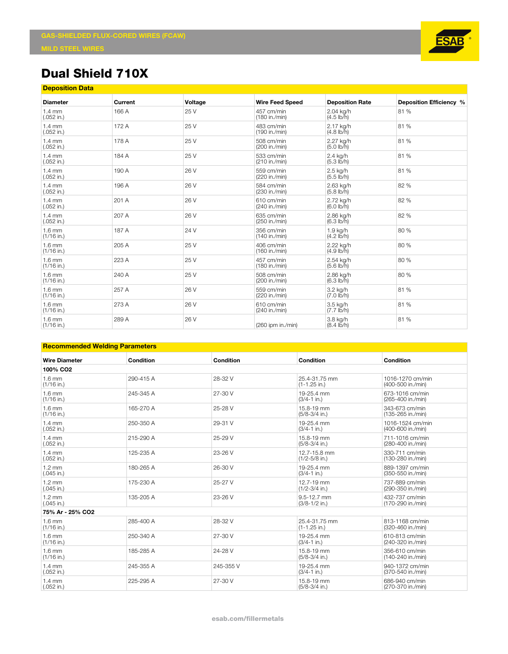

## **Dual Shield 710X**

| <b>Deposition Data</b>           |         |         |                             |                                    |                         |
|----------------------------------|---------|---------|-----------------------------|------------------------------------|-------------------------|
| <b>Diameter</b>                  | Current | Voltage | <b>Wire Feed Speed</b>      | <b>Deposition Rate</b>             | Deposition Efficiency % |
| $1.4 \text{ mm}$<br>$(.052$ in.) | 166 A   | 25 V    | 457 cm/min<br>(180 in./min) | 2.04 kg/h<br>$(4.5 \, lb/h)$       | 81%                     |
| $1.4 \text{ mm}$<br>$(.052$ in.) | 172 A   | 25 V    | 483 cm/min<br>(190 in./min) | 2.17 kg/h<br>$(4.8 \, lb/h)$       | 81 %                    |
| $1.4 \text{ mm}$<br>$(.052$ in.) | 178 A   | 25 V    | 508 cm/min<br>(200 in./min) | 2.27 kg/h<br>$(5.0 \, lb/h)$       | 81 %                    |
| $1.4 \text{ mm}$<br>$(.052$ in.) | 184 A   | 25 V    | 533 cm/min<br>(210 in./min) | 2.4 kg/h<br>$(5.3 \, \text{Ib/h})$ | 81 %                    |
| $1.4 \text{ mm}$<br>$(.052$ in.) | 190 A   | 26 V    | 559 cm/min<br>(220 in./min) | 2.5 kg/h<br>$(5.5 \, \text{Ib/h})$ | 81 %                    |
| $1.4 \text{ mm}$<br>$(.052$ in.) | 196 A   | 26 V    | 584 cm/min<br>(230 in./min) | 2.63 kg/h<br>$(5.8 \, lb/h)$       | 82 %                    |
| $1.4 \text{ mm}$<br>$(.052$ in.) | 201 A   | 26 V    | 610 cm/min<br>(240 in./min) | 2.72 kg/h<br>$(6.0 \, lb/h)$       | 82 %                    |
| $1.4 \text{ mm}$<br>$(.052$ in.) | 207 A   | 26 V    | 635 cm/min<br>(250 in./min) | 2.86 kg/h<br>$(6.3 \, lb/h)$       | 82 %                    |
| $1.6$ mm<br>$(1/16$ in.)         | 187 A   | 24 V    | 356 cm/min<br>(140 in./min) | 1.9 kg/h<br>$(4.2 \, \text{Ib/h})$ | 80 %                    |
| $1.6 \text{ mm}$<br>$(1/16$ in.) | 205 A   | 25 V    | 406 cm/min<br>(160 in./min) | 2.22 kg/h<br>(4.9 lb/h)            | 80 %                    |
| $1.6 \text{ mm}$<br>$(1/16$ in.) | 223 A   | 25 V    | 457 cm/min<br>(180 in./min) | 2.54 kg/h<br>$(5.6 \, lb/h)$       | 80 %                    |
| $1.6 \text{ mm}$<br>$(1/16$ in.) | 240 A   | 25 V    | 508 cm/min<br>(200 in./min) | 2.86 kg/h<br>$(6.3 \, lb/h)$       | 80 %                    |
| $1.6$ mm<br>$(1/16$ in.)         | 257 A   | 26 V    | 559 cm/min<br>(220 in./min) | 3.2 kg/h<br>$(7.0 I\bar{b}/h)$     | 81%                     |
| $1.6 \text{ mm}$<br>$(1/16$ in.) | 273 A   | 26 V    | 610 cm/min<br>(240 in./min) | 3.5 kg/h<br>$(7.7 \text{ lb/h})$   | 81 %                    |
| $1.6 \text{ mm}$<br>$(1/16$ in.) | 289 A   | 26 V    | $(260$ ipm in./min)         | 3.8 kg/h<br>$(8.4 \, \text{Ib/h})$ | 81 %                    |

## **Recommended Welding Parameters**

| <b>Wire Diameter</b>             | <b>Condition</b> | <b>Condition</b> | Condition                          | Condition                             |  |
|----------------------------------|------------------|------------------|------------------------------------|---------------------------------------|--|
| 100% CO <sub>2</sub>             |                  |                  |                                    |                                       |  |
| $1.6 \text{ mm}$<br>$(1/16$ in.) | 290-415 A        | 28-32 V          | 25.4-31.75 mm<br>$(1 - 1.25$ in.)  | 1016-1270 cm/min<br>(400-500 in./min) |  |
| $1.6 \text{ mm}$<br>$(1/16$ in.) | 245-345 A        | 27-30 V          | 19-25.4 mm<br>$(3/4 - 1)$ in.)     | 673-1016 cm/min<br>(265-400 in./min)  |  |
| $1.6 \text{ mm}$<br>$(1/16$ in.) | 165-270 A        | 25-28 V          | 15.8-19 mm<br>$(5/8-3/4$ in.)      | 343-673 cm/min<br>(135-265 in./min)   |  |
| $1.4 \text{ mm}$<br>$(.052$ in.) | 250-350 A        | 29-31 V          | 19-25.4 mm<br>$(3/4 - 1)$ in.)     | 1016-1524 cm/min<br>(400-600 in./min) |  |
| $1.4 \text{ mm}$<br>$(.052$ in.) | 215-290 A        | 25-29 V          | 15.8-19 mm<br>$(5/8-3/4$ in.)      | 711-1016 cm/min<br>(280-400 in./min)  |  |
| $1.4 \text{ mm}$<br>$(.052$ in.) | 125-235 A        | 23-26 V          | 12.7-15.8 mm<br>$(1/2 - 5/8)$ in.) | 330-711 cm/min<br>(130-280 in./min)   |  |
| $1.2 \text{ mm}$<br>$(.045$ in.) | 180-265 A        | 26-30 V          | 19-25.4 mm<br>$(3/4 - 1)$ in.)     | 889-1397 cm/min<br>(350-550 in./min)  |  |
| $1.2 \text{ mm}$<br>$(.045$ in.) | 175-230 A        | 25-27 V          | 12.7-19 mm<br>$(1/2 - 3/4)$ in.)   | 737-889 cm/min<br>(290-350 in./min)   |  |
| $1.2 \text{ mm}$<br>$(.045$ in.) | 135-205 A        | 23-26 V          | 9.5-12.7 mm<br>$(3/8-1/2$ in.)     | 432-737 cm/min<br>(170-290 in./min)   |  |
| 75% Ar - 25% CO2                 |                  |                  |                                    |                                       |  |
| $1.6 \text{ mm}$<br>$(1/16$ in.) | 285-400 A        | 28-32 V          | 25.4-31.75 mm<br>$(1 - 1.25)$ in.) | 813-1168 cm/min<br>(320-460 in./min)  |  |
| $1.6 \text{ mm}$<br>$(1/16$ in.) | 250-340 A        | 27-30 V          | 19-25.4 mm<br>$(3/4 - 1)$ in.)     | 610-813 cm/min<br>(240-320 in./min)   |  |
| $1.6 \text{ mm}$<br>$(1/16$ in.) | 185-285 A        | 24-28 V          | 15.8-19 mm<br>$(5/8-3/4$ in.)      | 356-610 cm/min<br>(140-240 in./min)   |  |
| $1.4 \text{ mm}$<br>$(.052$ in.) | 245-355 A        | 245-355 V        | 19-25.4 mm<br>$(3/4 - 1)$ in.)     | 940-1372 cm/min<br>(370-540 in./min)  |  |
| $1.4 \text{ mm}$<br>$(.052$ in.) | 225-295 A        | 27-30 V          | 15.8-19 mm<br>$(5/8-3/4$ in.)      | 686-940 cm/min<br>(270-370 in./min)   |  |